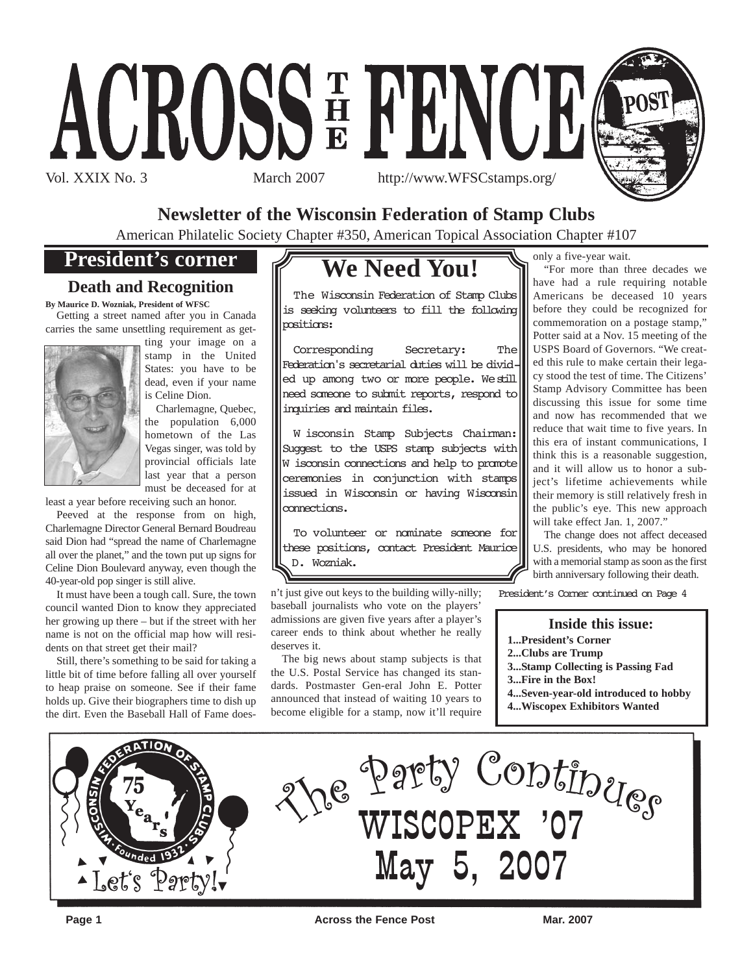



**Newsletter of the Wisconsin Federation of Stamp Clubs**

American Philatelic Society Chapter #350, American Topical Association Chapter #107

# **President's corner**

## **Death and Recognition**

**By Maurice D. Wozniak, President of WFSC** Getting a street named after you in Canada

carries the same unsettling requirement as get-



ting your image on a stamp in the United States: you have to be dead, even if your name is Celine Dion.

Charlemagne, Quebec, the population 6,000 hometown of the Las Vegas singer, was told by provincial officials late last year that a person must be deceased for at

least a year before receiving such an honor.

Peeved at the response from on high, Charlemagne Director General Bernard Boudreau said Dion had "spread the name of Charlemagne all over the planet," and the town put up signs for Celine Dion Boulevard anyway, even though the 40-year-old pop singer is still alive.

It must have been a tough call. Sure, the town council wanted Dion to know they appreciated her growing up there – but if the street with her name is not on the official map how will residents on that street get their mail?

Still, there's something to be said for taking a little bit of time before falling all over yourself to heap praise on someone. See if their fame holds up. Give their biographers time to dish up the dirt. Even the Baseball Hall of Fame does-

# **We Need You!**

The Wisconsin Federation of Stamp Clubs is seeking volunteers to fill the following positions:

Corresponding Secretary: The Federation's secretarial duties will be divided up among two or more people. We still need someone to submit reports, respond to inquiries and maintain files.

W isconsin Stamp Subjects Chairman: Suggest to the USPS stamp subjects with W isconsin connections and help to promote ceremonies in conjunction with stamps issued in Wisconsin or having Wisconsin connections.

To volunteer or nominate someone for these positions, contact President Maurice D. Wozniak.

n't just give out keys to the building willy-nilly; baseball journalists who vote on the players' admissions are given five years after a player's career ends to think about whether he really deserves it.

The big news about stamp subjects is that the U.S. Postal Service has changed its standards. Postmaster Gen-eral John E. Potter announced that instead of waiting 10 years to become eligible for a stamp, now it'll require only a five-year wait.

"For more than three decades we have had a rule requiring notable Americans be deceased 10 years before they could be recognized for commemoration on a postage stamp," Potter said at a Nov. 15 meeting of the USPS Board of Governors. "We created this rule to make certain their legacy stood the test of time. The Citizens' Stamp Advisory Committee has been discussing this issue for some time and now has recommended that we reduce that wait time to five years. In this era of instant communications, I think this is a reasonable suggestion, and it will allow us to honor a subject's lifetime achievements while their memory is still relatively fresh in the public's eye. This new approach will take effect Jan. 1, 2007."

The change does not affect deceased U.S. presidents, who may be honored with a memorial stamp as soon as the first birth anniversary following their death.

President's Corner continued on Page 4

### **Inside this issue:**

- **1...President's Corner**
- **2...Clubs are Trump**
- **3...Stamp Collecting is Passing Fad**
- **3...Fire in the Box!**
- **4...Seven-year-old introduced to hobby**
- **4...Wiscopex Exhibitors Wanted**

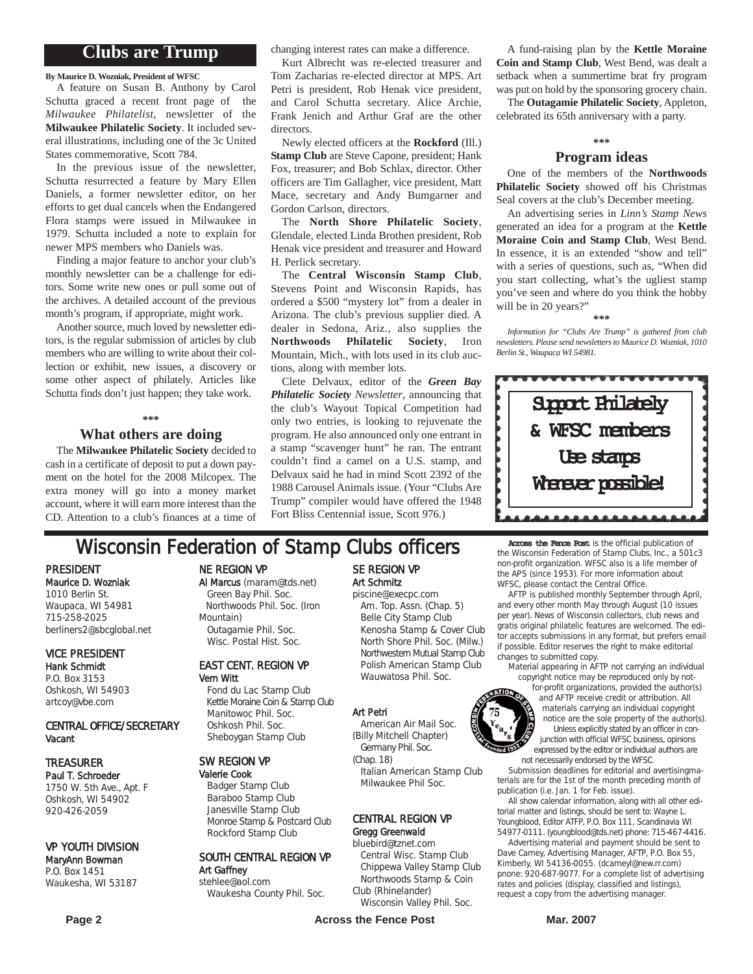### **Clubs are Trump**

**By Maurice D. Wozniak, President of WFSC**

A feature on Susan B. Anthony by Carol Schutta graced a recent front page of the *Milwaukee Philatelist*, newsletter of the **Milwaukee Philatelic Society**. It included several illustrations, including one of the 3c United States commemorative, Scott 784.

In the previous issue of the newsletter, Schutta resurrected a feature by Mary Ellen Daniels, a former newsletter editor, on her efforts to get dual cancels when the Endangered Flora stamps were issued in Milwaukee in 1979. Schutta included a note to explain for newer MPS members who Daniels was.

Finding a major feature to anchor your club's monthly newsletter can be a challenge for editors. Some write new ones or pull some out of the archives. A detailed account of the previous month's program, if appropriate, might work.

Another source, much loved by newsletter editors, is the regular submission of articles by club members who are willing to write about their collection or exhibit, new issues, a discovery or some other aspect of philately. Articles like Schutta finds don't just happen; they take work.

#### **\*\*\***

#### **What others are doing**

The **Milwaukee Philatelic Society** decided to cash in a certificate of deposit to put a down payment on the hotel for the 2008 Milcopex. The extra money will go into a money market account, where it will earn more interest than the CD. Attention to a club's finances at a time of changing interest rates can make a difference.

Kurt Albrecht was re-elected treasurer and Tom Zacharias re-elected director at MPS. Art Petri is president, Rob Henak vice president, and Carol Schutta secretary. Alice Archie, Frank Jenich and Arthur Graf are the other directors.

Newly elected officers at the **Rockford** (Ill.) **Stamp Club** are Steve Capone, president; Hank Fox, treasurer; and Bob Schlax, director. Other officers are Tim Gallagher, vice president, Matt Mace, secretary and Andy Bumgarner and Gordon Carlson, directors.

The **North Shore Philatelic Society**, Glendale, elected Linda Brothen president, Rob Henak vice president and treasurer and Howard H. Perlick secretary.

The **Central Wisconsin Stamp Club**, Stevens Point and Wisconsin Rapids, has ordered a \$500 "mystery lot" from a dealer in Arizona. The club's previous supplier died. A dealer in Sedona, Ariz., also supplies the **Northwoods Philatelic Society**, Iron Mountain, Mich., with lots used in its club auctions, along with member lots.

Clete Delvaux, editor of the *Green Bay Philatelic Society Newsletter*, announcing that the club's Wayout Topical Competition had only two entries, is looking to rejuvenate the program. He also announced only one entrant in a stamp "scavenger hunt" he ran. The entrant couldn't find a camel on a U.S. stamp, and Delvaux said he had in mind Scott 2392 of the 1988 Carousel Animals issue. (Your "Clubs Are Trump" compiler would have offered the 1948 Fort Bliss Centennial issue, Scott 976.)

A fund-raising plan by the **Kettle Moraine Coin and Stamp Club**, West Bend, was dealt a setback when a summertime brat fry program was put on hold by the sponsoring grocery chain.

The **Outagamie Philatelic Society**, Appleton, celebrated its 65th anniversary with a party.

### **\*\*\* Program ideas**

One of the members of the **Northwoods Philatelic Society** showed off his Christmas Seal covers at the club's December meeting.

An advertising series in *Linn's Stamp News* generated an idea for a program at the **Kettle Moraine Coin and Stamp Club**, West Bend. In essence, it is an extended "show and tell" with a series of questions, such as, "When did you start collecting, what's the ugliest stamp you've seen and where do you think the hobby will be in 20 years?"

**\*\*\***

*Information for "Clubs Are Trump" is gathered from club newsletters. Please send newsletters to Maurice D. Wozniak, 1010 Berlin St., Waupaca WI 54981.*



# **Wisconsin Federation of Stamp Clubs officers** Across the Fence Post is the official publication of

PRESIDENT Maurice D. Wozniak 1010 Berlin St. Waupaca, WI 54981 715-258-2025 berliners2@sbcglobal.net

VICE PRESIDENT Hank Schmidt P.O. Box 3153

Oshkosh, WI 54903 artcoy@vbe.com

#### CENTRAL OFFICE/SECRETARY Vacant

### TREASURER

Paul T. Schroeder 1750 W. 5th Ave., Apt. F Oshkosh, WI 54902 920-426-2059

#### VP YOUTH DIVISION

#### MaryAnn Bowman P.O. Box 1451 Waukesha, WI 53187

### NE REGION VP

Al Marcus (maram@tds.net) Green Bay Phil. Soc. Northwoods Phil. Soc. (Iron Mountain) Outagamie Phil. Soc. Wisc. Postal Hist. Soc.

#### EAST CENT. REGION VP Vern Witt

Fond du Lac Stamp Club Kettle Moraine Coin & Stamp Club Manitowoc Phil. Soc. Oshkosh Phil. Soc. Sheboygan Stamp Club

#### SW REGION VP

Valerie Cook Badger Stamp Club Baraboo Stamp Club Janesville Stamp Club Monroe Stamp & Postcard Club Rockford Stamp Club

#### SOUTH CENTRAL REGION VP Art Gaffney stehlee@aol.com

Waukesha County Phil. Soc.

## SE REGION VP Art Schmitz

piscine@execpc.com Am. Top. Assn. (Chap. 5) Belle City Stamp Club Kenosha Stamp & Cover Club North Shore Phil. Soc. (Milw.) Northwestern Mutual Stamp Club Polish American Stamp Club Wauwatosa Phil. Soc.

#### Art Petri

American Air Mail Soc. (Billy Mitchell Chapter) Germany Phil. Soc.

Italian American Stamp Club

## Gregg Greenwald

### bluebird@tznet.com

Central Wisc. Stamp Club Chippewa Valley Stamp Club Northwoods Stamp & Coin Club (Rhinelander)

Wisconsin Valley Phil. Soc.

the Wisconsin Federation of Stamp Clubs, Inc., a 501c3 non-profit organization. WFSC also is a life member of the APS (since 1953). For more information about WFSC, please contact the Central Office.

AFTP is published monthly September through April, and every other month May through August (10 issues per year). News of Wisconsin collectors, club news and gratis original philatelic features are welcomed. The editor accepts submissions in any format, but prefers email if possible. Editor reserves the right to make editorial changes to submitted copy.

material appearing in AFTP not carrying an individual copyright notice may be reproduced only by not-

for-profit organizations, provided the author(s) and AFTP receive credit or attribution. All materials carrying an individual copyright notice are the sole property of the author(s). Unless explicitly stated by an officer in conjunction with official WFSC business, opinions expressed by the editor or individual authors are not necessarily endorsed by the WFSC.

Submission deadlines for editorial and avertisingmaterials are for the 1st of the month preceding month of publication (i.e. Jan. 1 for Feb. issue).

All show calendar information, along with all other editorial matter and listings, should be sent to: Wayne L. Youngblood, Editor ATFP, P.O. Box 111, Scandinavia WI 54977-0111. (youngblood@tds.net) phone: 715-467-4416.

Advertising material and payment should be sent to Dave Carney, Advertising Manager, AFTP, P.O. Box 55, Kimberly, WI 54136-0055. (dcarneyl@new.rr.com) pnone: 920-687-9077. For a complete list of advertising rates and policies (display, classified and listings), request a copy from the advertising manager.

# (Chap. 18)

# Milwaukee Phil Soc.

CENTRAL REGION VP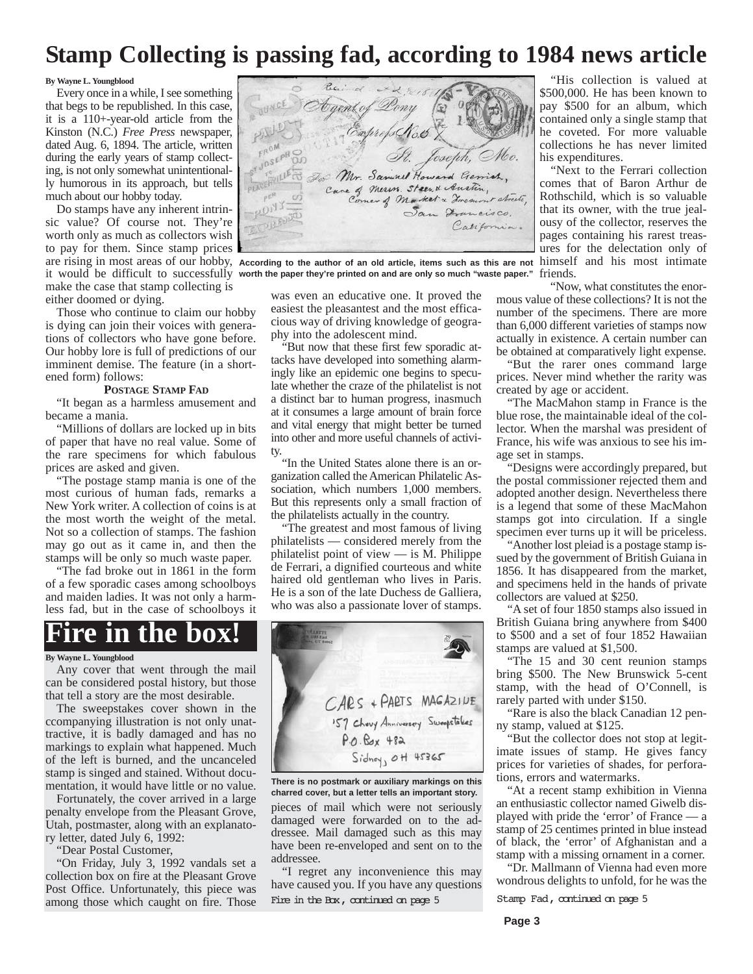# **Stamp Collecting is passing fad, according to 1984 news article**

#### **By Wayne L. Youngblood**

Every once in a while, I see something that begs to be republished. In this case, it is a 110+-year-old article from the Kinston (N.C.) *Free Press* newspaper, dated Aug. 6, 1894. The article, written during the early years of stamp collecting, is not only somewhat unintentionally humorous in its approach, but tells much about our hobby today.

Do stamps have any inherent intrinsic value? Of course not. They're worth only as much as collectors wish to pay for them. Since stamp prices make the case that stamp collecting is either doomed or dying.

Those who continue to claim our hobby is dying can join their voices with generations of collectors who have gone before. Our hobby lore is full of predictions of our imminent demise. The feature (in a shortened form) follows:

#### **POSTAGE STAMP FAD**

"It began as a harmless amusement and became a mania.

"Millions of dollars are locked up in bits of paper that have no real value. Some of the rare specimens for which fabulous prices are asked and given.

"The postage stamp mania is one of the most curious of human fads, remarks a New York writer. A collection of coins is at the most worth the weight of the metal. Not so a collection of stamps. The fashion may go out as it came in, and then the stamps will be only so much waste paper.

"The fad broke out in 1861 in the form of a few sporadic cases among schoolboys and maiden ladies. It was not only a harmless fad, but in the case of schoolboys it

# **Fire in the box!**

#### **By Wayne L. Youngblood**

Any cover that went through the mail can be considered postal history, but those that tell a story are the most desirable.

The sweepstakes cover shown in the ccompanying illustration is not only unattractive, it is badly damaged and has no markings to explain what happened. Much of the left is burned, and the uncanceled stamp is singed and stained. Without documentation, it would have little or no value.

Fortunately, the cover arrived in a large penalty envelope from the Pleasant Grove, Utah, postmaster, along with an explanatory letter, dated July 6, 1992:

"Dear Postal Customer,

"On Friday, July 3, 1992 vandals set a collection box on fire at the Pleasant Grove Post Office. Unfortunately, this piece was among those which caught on fire. Those



are rising in most areas of our hobby, According to the author of an old article, items such as this are not himself and his most intimate it would be difficult to successfully **worth the paper they're printed on and are only so much "waste paper."**

was even an educative one. It proved the easiest the pleasantest and the most efficacious way of driving knowledge of geography into the adolescent mind.

"But now that these first few sporadic attacks have developed into something alarmingly like an epidemic one begins to speculate whether the craze of the philatelist is not a distinct bar to human progress, inasmuch at it consumes a large amount of brain force and vital energy that might better be turned into other and more useful channels of activity.

"In the United States alone there is an organization called the American Philatelic Association, which numbers 1,000 members. But this represents only a small fraction of the philatelists actually in the country.

"The greatest and most famous of living philatelists — considered merely from the philatelist point of view — is M. Philippe de Ferrari, a dignified courteous and white haired old gentleman who lives in Paris. He is a son of the late Duchess de Galliera, who was also a passionate lover of stamps.



pieces of mail which were not seriously damaged were forwarded on to the addressee. Mail damaged such as this may have been re-enveloped and sent on to the addressee. **There is no postmark or auxiliary markings on this charred cover, but a letter tells an important story.**

"I regret any inconvenience this may have caused you. If you have any questions Fire in the Box, continued on page 5 Stamp Fad, continued on page 5

"His collection is valued at \$500,000. He has been known to pay \$500 for an album, which contained only a single stamp that he coveted. For more valuable collections he has never limited his expenditures.

"Next to the Ferrari collection comes that of Baron Arthur de Rothschild, which is so valuable that its owner, with the true jealousy of the collector, reserves the pages containing his rarest treasures for the delectation only of friends.

"Now, what constitutes the enormous value of these collections? It is not the number of the specimens. There are more than 6,000 different varieties of stamps now actually in existence. A certain number can be obtained at comparatively light expense.

"But the rarer ones command large prices. Never mind whether the rarity was created by age or accident.

"The MacMahon stamp in France is the blue rose, the maintainable ideal of the collector. When the marshal was president of France, his wife was anxious to see his image set in stamps.

"Designs were accordingly prepared, but the postal commissioner rejected them and adopted another design. Nevertheless there is a legend that some of these MacMahon stamps got into circulation. If a single specimen ever turns up it will be priceless.

"Another lost pleiad is a postage stamp issued by the government of British Guiana in 1856. It has disappeared from the market, and specimens held in the hands of private collectors are valued at \$250.

"A set of four 1850 stamps also issued in British Guiana bring anywhere from \$400 to \$500 and a set of four 1852 Hawaiian stamps are valued at \$1,500.

"The 15 and 30 cent reunion stamps bring \$500. The New Brunswick 5-cent stamp, with the head of O'Connell, is rarely parted with under \$150.

"Rare is also the black Canadian 12 penny stamp, valued at \$125.

"But the collector does not stop at legitimate issues of stamp. He gives fancy prices for varieties of shades, for perforations, errors and watermarks.

"At a recent stamp exhibition in Vienna an enthusiastic collector named Giwelb displayed with pride the 'error' of France — a stamp of 25 centimes printed in blue instead of black, the 'error' of Afghanistan and a stamp with a missing ornament in a corner.

"Dr. Mallmann of Vienna had even more wondrous delights to unfold, for he was the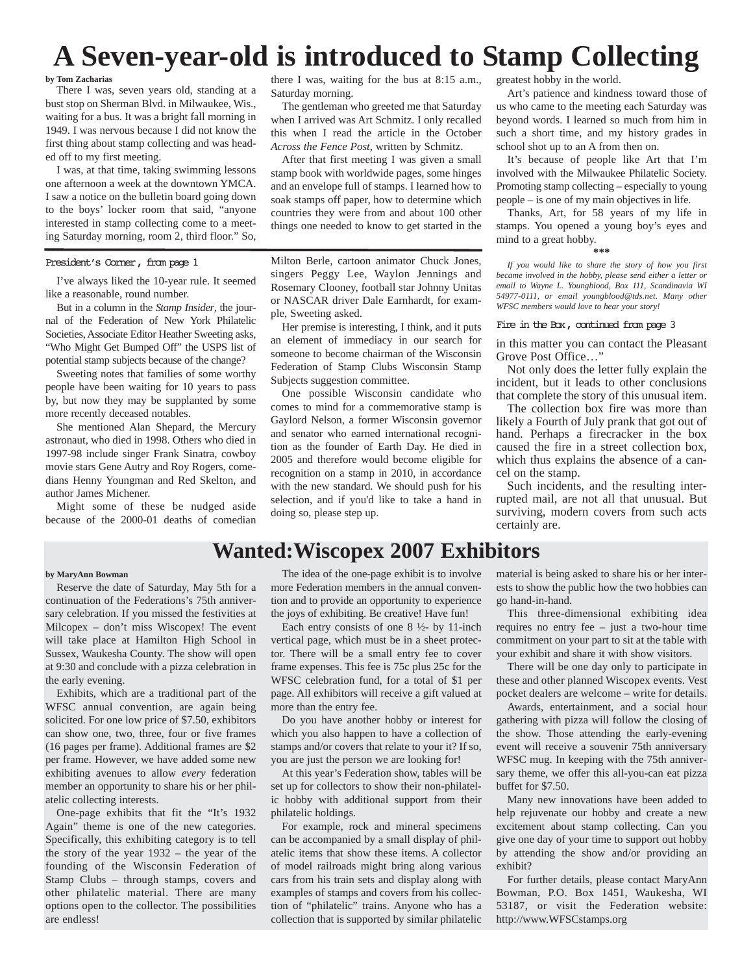# **A Seven-year-old is introduced to Stamp Collecting**

**by Tom Zacharias**

There I was, seven years old, standing at a bust stop on Sherman Blvd. in Milwaukee, Wis., waiting for a bus. It was a bright fall morning in 1949. I was nervous because I did not know the first thing about stamp collecting and was headed off to my first meeting.

I was, at that time, taking swimming lessons one afternoon a week at the downtown YMCA. I saw a notice on the bulletin board going down to the boys' locker room that said, "anyone interested in stamp collecting come to a meeting Saturday morning, room 2, third floor." So,

President's Corner, from page 1

I've always liked the 10-year rule. It seemed like a reasonable, round number.

But in a column in the *Stamp Insider*, the journal of the Federation of New York Philatelic Societies, Associate Editor Heather Sweeting asks, "Who Might Get Bumped Off" the USPS list of potential stamp subjects because of the change?

Sweeting notes that families of some worthy people have been waiting for 10 years to pass by, but now they may be supplanted by some more recently deceased notables.

She mentioned Alan Shepard, the Mercury astronaut, who died in 1998. Others who died in 1997-98 include singer Frank Sinatra, cowboy movie stars Gene Autry and Roy Rogers, comedians Henny Youngman and Red Skelton, and author James Michener.

Might some of these be nudged aside because of the 2000-01 deaths of comedian

there I was, waiting for the bus at 8:15 a.m., Saturday morning.

The gentleman who greeted me that Saturday when I arrived was Art Schmitz. I only recalled this when I read the article in the October *Across the Fence Post*, written by Schmitz.

After that first meeting I was given a small stamp book with worldwide pages, some hinges and an envelope full of stamps. I learned how to soak stamps off paper, how to determine which countries they were from and about 100 other things one needed to know to get started in the

Milton Berle, cartoon animator Chuck Jones, singers Peggy Lee, Waylon Jennings and Rosemary Clooney, football star Johnny Unitas or NASCAR driver Dale Earnhardt, for example, Sweeting asked.

Her premise is interesting, I think, and it puts an element of immediacy in our search for someone to become chairman of the Wisconsin Federation of Stamp Clubs Wisconsin Stamp Subjects suggestion committee.

One possible Wisconsin candidate who comes to mind for a commemorative stamp is Gaylord Nelson, a former Wisconsin governor and senator who earned international recognition as the founder of Earth Day. He died in 2005 and therefore would become eligible for recognition on a stamp in 2010, in accordance with the new standard. We should push for his selection, and if you'd like to take a hand in doing so, please step up.

greatest hobby in the world.

Art's patience and kindness toward those of us who came to the meeting each Saturday was beyond words. I learned so much from him in such a short time, and my history grades in school shot up to an A from then on.

It's because of people like Art that I'm involved with the Milwaukee Philatelic Society. Promoting stamp collecting – especially to young people – is one of my main objectives in life.

Thanks, Art, for 58 years of my life in stamps. You opened a young boy's eyes and mind to a great hobby.

#### **\*\*\***

*If you would like to share the story of how you first became involved in the hobby, please send either a letter or email to Wayne L. Youngblood, Box 111, Scandinavia WI 54977-0111, or email youngblood@tds.net. Many other WFSC members would love to hear your story!*

#### Fire in the Box, continued from page 3

in this matter you can contact the Pleasant Grove Post Office...'

Not only does the letter fully explain the incident, but it leads to other conclusions that complete the story of this unusual item.

The collection box fire was more than likely a Fourth of July prank that got out of hand. Perhaps a firecracker in the box caused the fire in a street collection box, which thus explains the absence of a cancel on the stamp.

Such incidents, and the resulting interrupted mail, are not all that unusual. But surviving, modern covers from such acts certainly are.

## **Wanted:Wiscopex 2007 Exhibitors**

#### **by MaryAnn Bowman**

Reserve the date of Saturday, May 5th for a continuation of the Federations's 75th anniversary celebration. If you missed the festivities at Milcopex – don't miss Wiscopex! The event will take place at Hamilton High School in Sussex, Waukesha County. The show will open at 9:30 and conclude with a pizza celebration in the early evening.

Exhibits, which are a traditional part of the WFSC annual convention, are again being solicited. For one low price of \$7.50, exhibitors can show one, two, three, four or five frames (16 pages per frame). Additional frames are \$2 per frame. However, we have added some new exhibiting avenues to allow *every* federation member an opportunity to share his or her philatelic collecting interests.

One-page exhibits that fit the "It's 1932 Again" theme is one of the new categories. Specifically, this exhibiting category is to tell the story of the year 1932 – the year of the founding of the Wisconsin Federation of Stamp Clubs – through stamps, covers and other philatelic material. There are many options open to the collector. The possibilities are endless!

The idea of the one-page exhibit is to involve more Federation members in the annual convention and to provide an opportunity to experience the joys of exhibiting. Be creative! Have fun!

Each entry consists of one 8 ½- by 11-inch vertical page, which must be in a sheet protector. There will be a small entry fee to cover frame expenses. This fee is 75c plus 25c for the WFSC celebration fund, for a total of \$1 per page. All exhibitors will receive a gift valued at more than the entry fee.

Do you have another hobby or interest for which you also happen to have a collection of stamps and/or covers that relate to your it? If so, you are just the person we are looking for!

At this year's Federation show, tables will be set up for collectors to show their non-philatelic hobby with additional support from their philatelic holdings.

For example, rock and mineral specimens can be accompanied by a small display of philatelic items that show these items. A collector of model railroads might bring along various cars from his train sets and display along with examples of stamps and covers from his collection of "philatelic" trains. Anyone who has a collection that is supported by similar philatelic

material is being asked to share his or her interests to show the public how the two hobbies can go hand-in-hand.

This three-dimensional exhibiting idea requires no entry fee – just a two-hour time commitment on your part to sit at the table with your exhibit and share it with show visitors.

There will be one day only to participate in these and other planned Wiscopex events. Vest pocket dealers are welcome – write for details.

Awards, entertainment, and a social hour gathering with pizza will follow the closing of the show. Those attending the early-evening event will receive a souvenir 75th anniversary WFSC mug. In keeping with the 75th anniversary theme, we offer this all-you-can eat pizza buffet for \$7.50.

Many new innovations have been added to help rejuvenate our hobby and create a new excitement about stamp collecting. Can you give one day of your time to support out hobby by attending the show and/or providing an exhibit?

For further details, please contact MaryAnn Bowman, P.O. Box 1451, Waukesha, WI 53187, or visit the Federation website: http://www.WFSCstamps.org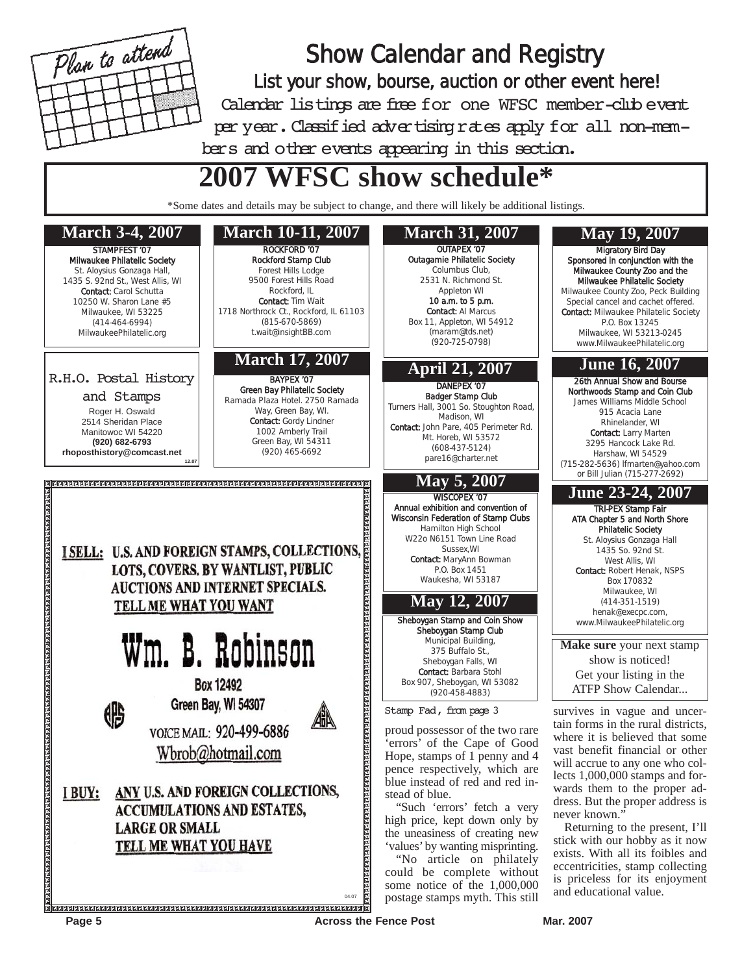